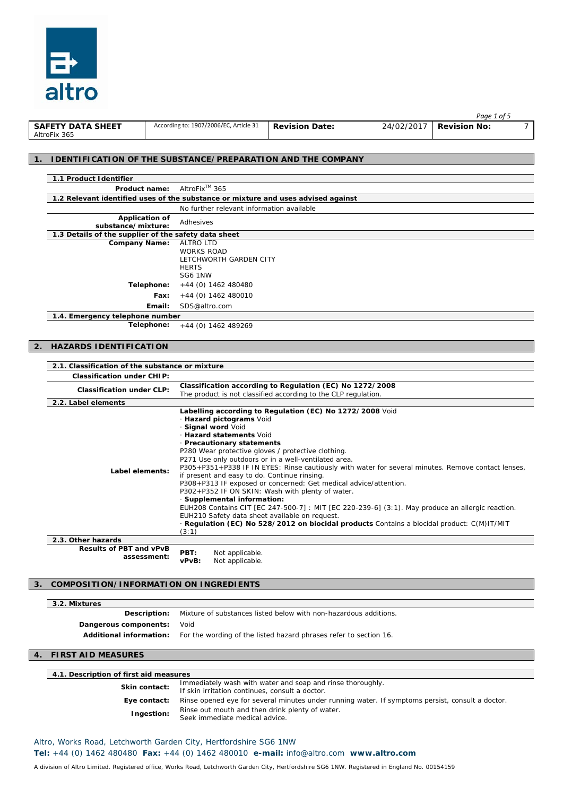

|                          |                                        |                       |            | Page 1 of 5         |  |
|--------------------------|----------------------------------------|-----------------------|------------|---------------------|--|
| <b>SAFETY DATA SHEET</b> | According to: 1907/2006/EC, Article 31 | <b>Revision Date:</b> | 24/02/2017 | <b>Revision No:</b> |  |
| AltroFix 365             |                                        |                       |            |                     |  |

#### **1. IDENTIFICATION OF THE SUBSTANCE/PREPARATION AND THE COMPANY**

| 1.1 Product Identifier                               |                                                                                   |
|------------------------------------------------------|-----------------------------------------------------------------------------------|
| Product name:                                        | AltroFix <sup>™</sup> 365                                                         |
|                                                      | 1.2 Relevant identified uses of the substance or mixture and uses advised against |
|                                                      | No further relevant information available                                         |
| <b>Application of</b><br>substance/mixture:          | Adhesives                                                                         |
| 1.3 Details of the supplier of the safety data sheet |                                                                                   |
| <b>Company Name:</b>                                 | ALTRO LTD                                                                         |
|                                                      | <b>WORKS ROAD</b>                                                                 |
|                                                      | LETCHWORTH GARDEN CITY                                                            |
|                                                      | <b>HERTS</b>                                                                      |
|                                                      | SG6 1NW                                                                           |
| Telephone:                                           | +44 (0) 1462 480480                                                               |
| Fax:                                                 | $+44$ (0) 1462 480010                                                             |
| Email:                                               | SDS@altro.com                                                                     |
| 1.4. Emergency telephone number                      |                                                                                   |
| Telephone:                                           | $+44$ (0) 1462 489269                                                             |

#### **2. HAZARDS IDENTIFICATION**

| 2.1. Classification of the substance or mixture |                                                                                                                                                                                                                                                                                                                                                                                                                                                                                                                                                                                                                                                                                                                                                                                                                                                           |
|-------------------------------------------------|-----------------------------------------------------------------------------------------------------------------------------------------------------------------------------------------------------------------------------------------------------------------------------------------------------------------------------------------------------------------------------------------------------------------------------------------------------------------------------------------------------------------------------------------------------------------------------------------------------------------------------------------------------------------------------------------------------------------------------------------------------------------------------------------------------------------------------------------------------------|
| <b>Classification under CHIP:</b>               |                                                                                                                                                                                                                                                                                                                                                                                                                                                                                                                                                                                                                                                                                                                                                                                                                                                           |
| <b>Classification under CLP:</b>                | Classification according to Regulation (EC) No 1272/2008                                                                                                                                                                                                                                                                                                                                                                                                                                                                                                                                                                                                                                                                                                                                                                                                  |
|                                                 | The product is not classified according to the CLP regulation.                                                                                                                                                                                                                                                                                                                                                                                                                                                                                                                                                                                                                                                                                                                                                                                            |
| 2.2. Label elements                             |                                                                                                                                                                                                                                                                                                                                                                                                                                                                                                                                                                                                                                                                                                                                                                                                                                                           |
| Label elements:                                 | Labelling according to Regulation (EC) No 1272/2008 Void<br>· Hazard pictograms Void<br>· Signal word Void<br>· Hazard statements Void<br>• Precautionary statements<br>P280 Wear protective gloves / protective clothing.<br>P271 Use only outdoors or in a well-ventilated area.<br>P305+P351+P338 IF IN EYES: Rinse cautiously with water for several minutes. Remove contact lenses,<br>if present and easy to do. Continue rinsing.<br>P308+P313 IF exposed or concerned: Get medical advice/attention.<br>P302+P352 IF ON SKIN: Wash with plenty of water.<br>· Supplemental information:<br>EUH208 Contains CIT [EC 247-500-7]: MIT [EC 220-239-6] (3:1). May produce an allergic reaction.<br>EUH210 Safety data sheet available on request.<br>Regulation (EC) No 528/2012 on biocidal products Contains a biocidal product: C(M)IT/MIT<br>(3:1) |
| 2.3. Other hazards                              |                                                                                                                                                                                                                                                                                                                                                                                                                                                                                                                                                                                                                                                                                                                                                                                                                                                           |
| <b>Results of PBT and vPvB</b><br>assessment:   | PBT:<br>Not applicable.<br>Not applicable.<br>vPvB:                                                                                                                                                                                                                                                                                                                                                                                                                                                                                                                                                                                                                                                                                                                                                                                                       |

### **3. COMPOSITION/INFORMATION ON INGREDIENTS**

## **3.2. Mixtures**

| <b>IVIIALUI CS</b>         |                                                                                                  |
|----------------------------|--------------------------------------------------------------------------------------------------|
|                            | <b>Description:</b> Mixture of substances listed below with non-hazardous additions.             |
| Dangerous components: Void |                                                                                                  |
|                            | <b>Additional information:</b> For the wording of the listed hazard phrases refer to section 16. |
|                            |                                                                                                  |

### **4. FIRST AID MEASURES**

| 4.1. Description of first aid measures |                                                                                                               |  |
|----------------------------------------|---------------------------------------------------------------------------------------------------------------|--|
| <b>Skin contact:</b>                   | Immediately wash with water and soap and rinse thoroughly.<br>If skin irritation continues, consult a doctor. |  |
| Eye contact:                           | Rinse opened eye for several minutes under running water. If symptoms persist, consult a doctor.              |  |
| Ingestion:                             | Rinse out mouth and then drink plenty of water.<br>Seek immediate medical advice.                             |  |

# Altro, Works Road, Letchworth Garden City, Hertfordshire SG6 1NW

**Tel:** +44 (0) 1462 480480 **Fax:** +44 (0) 1462 480010 **e-mail:** info@altro.com **www.altro.com**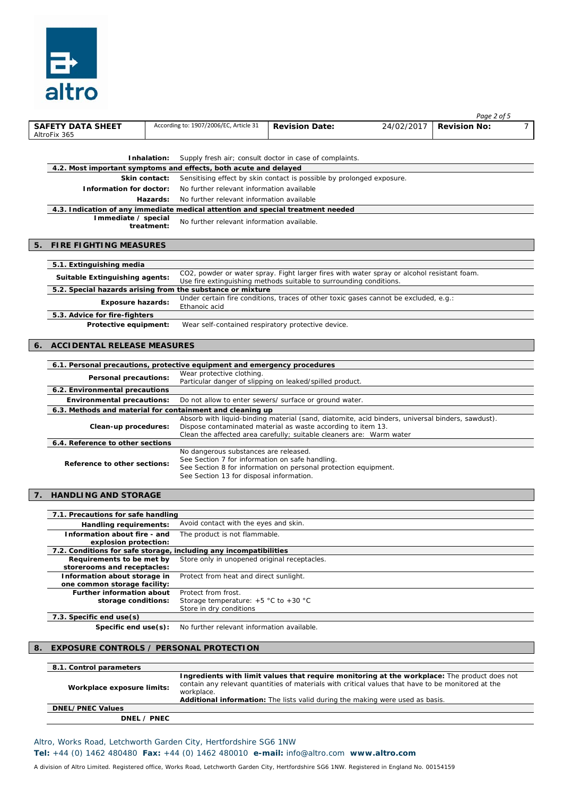

|    | <b>SAFETY DATA SHEET</b><br>AltroFix 365                                                                                                                   |             | According to: 1907/2006/EC, Article 31                                                                                               | <b>Revision Date:</b> | 24/02/2017                                                                                                                                                                                         | <b>Revision No:</b> | $\overline{7}$ |
|----|------------------------------------------------------------------------------------------------------------------------------------------------------------|-------------|--------------------------------------------------------------------------------------------------------------------------------------|-----------------------|----------------------------------------------------------------------------------------------------------------------------------------------------------------------------------------------------|---------------------|----------------|
|    |                                                                                                                                                            |             |                                                                                                                                      |                       |                                                                                                                                                                                                    |                     |                |
|    |                                                                                                                                                            | Inhalation: |                                                                                                                                      |                       |                                                                                                                                                                                                    |                     |                |
|    | 4.2. Most important symptoms and effects, both acute and delayed                                                                                           |             | Supply fresh air; consult doctor in case of complaints.                                                                              |                       |                                                                                                                                                                                                    |                     |                |
|    | Skin contact:                                                                                                                                              |             | Sensitising effect by skin contact is possible by prolonged exposure.                                                                |                       |                                                                                                                                                                                                    |                     |                |
|    | Information for doctor:                                                                                                                                    |             | No further relevant information available                                                                                            |                       |                                                                                                                                                                                                    |                     |                |
|    |                                                                                                                                                            | Hazards:    | No further relevant information available                                                                                            |                       |                                                                                                                                                                                                    |                     |                |
|    | 4.3. Indication of any immediate medical attention and special treatment needed                                                                            |             |                                                                                                                                      |                       |                                                                                                                                                                                                    |                     |                |
|    | Immediate / special                                                                                                                                        | treatment:  | No further relevant information available.                                                                                           |                       |                                                                                                                                                                                                    |                     |                |
|    |                                                                                                                                                            |             |                                                                                                                                      |                       |                                                                                                                                                                                                    |                     |                |
| 5. | <b>FIRE FIGHTING MEASURES</b>                                                                                                                              |             |                                                                                                                                      |                       |                                                                                                                                                                                                    |                     |                |
|    | 5.1. Extinguishing media                                                                                                                                   |             |                                                                                                                                      |                       |                                                                                                                                                                                                    |                     |                |
|    |                                                                                                                                                            |             |                                                                                                                                      |                       | CO2, powder or water spray. Fight larger fires with water spray or alcohol resistant foam.                                                                                                         |                     |                |
|    | Suitable Extinguishing agents:                                                                                                                             |             | Use fire extinguishing methods suitable to surrounding conditions.                                                                   |                       |                                                                                                                                                                                                    |                     |                |
|    | 5.2. Special hazards arising from the substance or mixture                                                                                                 |             |                                                                                                                                      |                       | Under certain fire conditions, traces of other toxic gases cannot be excluded, e.g.:                                                                                                               |                     |                |
|    | <b>Exposure hazards:</b>                                                                                                                                   |             | Ethanoic acid                                                                                                                        |                       |                                                                                                                                                                                                    |                     |                |
|    | 5.3. Advice for fire-fighters                                                                                                                              |             |                                                                                                                                      |                       |                                                                                                                                                                                                    |                     |                |
|    | Protective equipment:                                                                                                                                      |             | Wear self-contained respiratory protective device.                                                                                   |                       |                                                                                                                                                                                                    |                     |                |
| 6. | <b>ACCIDENTAL RELEASE MEASURES</b>                                                                                                                         |             |                                                                                                                                      |                       |                                                                                                                                                                                                    |                     |                |
|    |                                                                                                                                                            |             |                                                                                                                                      |                       |                                                                                                                                                                                                    |                     |                |
|    | 6.1. Personal precautions, protective equipment and emergency procedures                                                                                   |             |                                                                                                                                      |                       |                                                                                                                                                                                                    |                     |                |
|    | Personal precautions:                                                                                                                                      |             | Wear protective clothing.<br>Particular danger of slipping on leaked/spilled product.                                                |                       |                                                                                                                                                                                                    |                     |                |
|    | 6.2. Environmental precautions                                                                                                                             |             |                                                                                                                                      |                       |                                                                                                                                                                                                    |                     |                |
|    | <b>Environmental precautions:</b>                                                                                                                          |             | Do not allow to enter sewers/ surface or ground water.                                                                               |                       |                                                                                                                                                                                                    |                     |                |
|    | 6.3. Methods and material for containment and cleaning up                                                                                                  |             |                                                                                                                                      |                       |                                                                                                                                                                                                    |                     |                |
|    | Clean-up procedures:                                                                                                                                       |             | Dispose contaminated material as waste according to item 13.<br>Clean the affected area carefully; suitable cleaners are: Warm water |                       | Absorb with liquid-binding material (sand, diatomite, acid binders, universal binders, sawdust).                                                                                                   |                     |                |
|    | 6.4. Reference to other sections                                                                                                                           |             |                                                                                                                                      |                       |                                                                                                                                                                                                    |                     |                |
|    |                                                                                                                                                            |             | No dangerous substances are released.<br>See Section 7 for information on safe handling.                                             |                       |                                                                                                                                                                                                    |                     |                |
|    | Reference to other sections:                                                                                                                               |             | See Section 8 for information on personal protection equipment.                                                                      |                       |                                                                                                                                                                                                    |                     |                |
|    |                                                                                                                                                            |             | See Section 13 for disposal information.                                                                                             |                       |                                                                                                                                                                                                    |                     |                |
| 7. | <b>HANDLING AND STORAGE</b>                                                                                                                                |             |                                                                                                                                      |                       |                                                                                                                                                                                                    |                     |                |
|    |                                                                                                                                                            |             |                                                                                                                                      |                       |                                                                                                                                                                                                    |                     |                |
|    | 7.1. Precautions for safe handling                                                                                                                         |             |                                                                                                                                      |                       |                                                                                                                                                                                                    |                     |                |
|    | Handling requirements:                                                                                                                                     |             | Avoid contact with the eyes and skin.                                                                                                |                       |                                                                                                                                                                                                    |                     |                |
|    | Information about fire - and<br>explosion protection:                                                                                                      |             | The product is not flammable.                                                                                                        |                       |                                                                                                                                                                                                    |                     |                |
|    | 7.2. Conditions for safe storage, including any incompatibilities                                                                                          |             |                                                                                                                                      |                       |                                                                                                                                                                                                    |                     |                |
|    | Requirements to be met by<br>storerooms and receptacles:                                                                                                   |             | Store only in unopened original receptacles.                                                                                         |                       |                                                                                                                                                                                                    |                     |                |
|    | Information about storage in                                                                                                                               |             | Protect from heat and direct sunlight.                                                                                               |                       |                                                                                                                                                                                                    |                     |                |
|    | one common storage facility:                                                                                                                               |             |                                                                                                                                      |                       |                                                                                                                                                                                                    |                     |                |
|    | <b>Further information about</b><br>storage conditions:                                                                                                    |             | Protect from frost.<br>Storage temperature: $+5$ °C to $+30$ °C                                                                      |                       |                                                                                                                                                                                                    |                     |                |
|    |                                                                                                                                                            |             | Store in dry conditions                                                                                                              |                       |                                                                                                                                                                                                    |                     |                |
|    | 7.3. Specific end use(s)                                                                                                                                   |             |                                                                                                                                      |                       |                                                                                                                                                                                                    |                     |                |
|    | Specific end $use(s)$ :                                                                                                                                    |             | No further relevant information available.                                                                                           |                       |                                                                                                                                                                                                    |                     |                |
| 8. | <b>EXPOSURE CONTROLS / PERSONAL PROTECTION</b>                                                                                                             |             |                                                                                                                                      |                       |                                                                                                                                                                                                    |                     |                |
|    |                                                                                                                                                            |             |                                                                                                                                      |                       |                                                                                                                                                                                                    |                     |                |
|    | 8.1. Control parameters                                                                                                                                    |             |                                                                                                                                      |                       |                                                                                                                                                                                                    |                     |                |
|    |                                                                                                                                                            |             |                                                                                                                                      |                       | Ingredients with limit values that require monitoring at the workplace: The product does not<br>contain any relevant quantities of materials with critical values that have to be monitored at the |                     |                |
|    | Workplace exposure limits:                                                                                                                                 |             | workplace.                                                                                                                           |                       |                                                                                                                                                                                                    |                     |                |
|    |                                                                                                                                                            |             |                                                                                                                                      |                       | <b>Additional information:</b> The lists valid during the making were used as basis.                                                                                                               |                     |                |
|    | <b>DNEL/PNEC Values</b><br>DNEL / PNEC                                                                                                                     |             |                                                                                                                                      |                       |                                                                                                                                                                                                    |                     |                |
|    |                                                                                                                                                            |             |                                                                                                                                      |                       |                                                                                                                                                                                                    |                     |                |
|    |                                                                                                                                                            |             |                                                                                                                                      |                       |                                                                                                                                                                                                    |                     |                |
|    | Altro, Works Road, Letchworth Garden City, Hertfordshire SG6 1NW<br>Tel: +44 (0) 1462 480480 Fax: +44 (0) 1462 480010 e-mail: info@altro.com www.altro.com |             |                                                                                                                                      |                       |                                                                                                                                                                                                    |                     |                |
|    |                                                                                                                                                            |             |                                                                                                                                      |                       |                                                                                                                                                                                                    |                     |                |

*Page 2 of 5*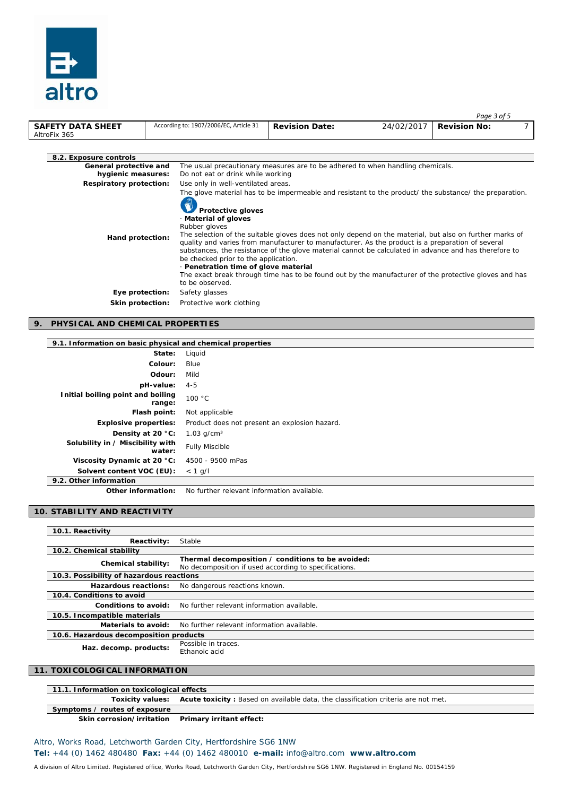

|                                              |                                                                                                                                                                    |                                                                                                                                                                                                                                                                                                                                                                                                                                                                                                                                         |            | Page 3 of 5         |  |
|----------------------------------------------|--------------------------------------------------------------------------------------------------------------------------------------------------------------------|-----------------------------------------------------------------------------------------------------------------------------------------------------------------------------------------------------------------------------------------------------------------------------------------------------------------------------------------------------------------------------------------------------------------------------------------------------------------------------------------------------------------------------------------|------------|---------------------|--|
| <b>SAFETY DATA SHEET</b><br>AltroFix 365     | According to: 1907/2006/EC, Article 31                                                                                                                             | <b>Revision Date:</b>                                                                                                                                                                                                                                                                                                                                                                                                                                                                                                                   | 24/02/2017 | <b>Revision No:</b> |  |
|                                              |                                                                                                                                                                    |                                                                                                                                                                                                                                                                                                                                                                                                                                                                                                                                         |            |                     |  |
| 8.2. Exposure controls                       |                                                                                                                                                                    |                                                                                                                                                                                                                                                                                                                                                                                                                                                                                                                                         |            |                     |  |
| General protective and<br>hygienic measures: | Do not eat or drink while working                                                                                                                                  | The usual precautionary measures are to be adhered to when handling chemicals.                                                                                                                                                                                                                                                                                                                                                                                                                                                          |            |                     |  |
| <b>Respiratory protection:</b>               | Use only in well-ventilated areas.                                                                                                                                 |                                                                                                                                                                                                                                                                                                                                                                                                                                                                                                                                         |            |                     |  |
| Hand protection:                             | <b>Protective gloves</b><br>Material of gloves<br>Rubber gloves<br>be checked prior to the application.<br>· Penetration time of glove material<br>to be observed. | The glove material has to be impermeable and resistant to the product/ the substance/ the preparation.<br>The selection of the suitable gloves does not only depend on the material, but also on further marks of<br>quality and varies from manufacturer to manufacturer. As the product is a preparation of several<br>substances, the resistance of the glove material cannot be calculated in advance and has therefore to<br>The exact break through time has to be found out by the manufacturer of the protective gloves and has |            |                     |  |
| Eye protection:                              | Safety glasses                                                                                                                                                     |                                                                                                                                                                                                                                                                                                                                                                                                                                                                                                                                         |            |                     |  |
| Skin protection:                             | Protective work clothing                                                                                                                                           |                                                                                                                                                                                                                                                                                                                                                                                                                                                                                                                                         |            |                     |  |

#### **9. PHYSICAL AND CHEMICAL PROPERTIES**

### **9.1. Information on basic physical and chemical properties**

| State:                                      | Liguid                                        |
|---------------------------------------------|-----------------------------------------------|
| Colour:                                     | Blue                                          |
| Odour:                                      | Mild                                          |
| pH-value:                                   | 4-5                                           |
| Initial boiling point and boiling<br>range: | 100 °C                                        |
| Flash point:                                | Not applicable                                |
| <b>Explosive properties:</b>                | Product does not present an explosion hazard. |
| Density at 20 °C:                           | 1.03 $q/cm3$                                  |
| Solubility in / Miscibility with<br>water:  | <b>Fully Miscible</b>                         |
| Viscosity Dynamic at 20 °C:                 | 4500 - 9500 mPas                              |
| Solvent content VOC (EU):                   | $< 1$ g/l                                     |
| 9.2. Other information                      |                                               |

**Other information:** No further relevant information available.

### **10. STABILITY AND REACTIVITY**

| 10.1. Reactivity                         |                                                                                                            |
|------------------------------------------|------------------------------------------------------------------------------------------------------------|
| Reactivity:                              | Stable                                                                                                     |
| 10.2. Chemical stability                 |                                                                                                            |
| Chemical stability:                      | Thermal decomposition / conditions to be avoided:<br>No decomposition if used according to specifications. |
| 10.3. Possibility of hazardous reactions |                                                                                                            |
| Hazardous reactions:                     | No dangerous reactions known.                                                                              |
| 10.4. Conditions to avoid                |                                                                                                            |
| Conditions to avoid:                     | No further relevant information available.                                                                 |
| 10.5. Incompatible materials             |                                                                                                            |
| Materials to avoid:                      | No further relevant information available.                                                                 |
| 10.6. Hazardous decomposition products   |                                                                                                            |
| Haz. decomp. products:                   | Possible in traces.<br>Ethanoic acid                                                                       |

#### **11. TOXICOLOGICAL INFORMATION**

| 11.1. Information on toxicological effects            |                                                                                                    |  |
|-------------------------------------------------------|----------------------------------------------------------------------------------------------------|--|
|                                                       | Toxicity values: Acute toxicity: Based on available data, the classification criteria are not met. |  |
| Symptoms / routes of exposure                         |                                                                                                    |  |
| Skin corrosion/irritation    Primary irritant effect: |                                                                                                    |  |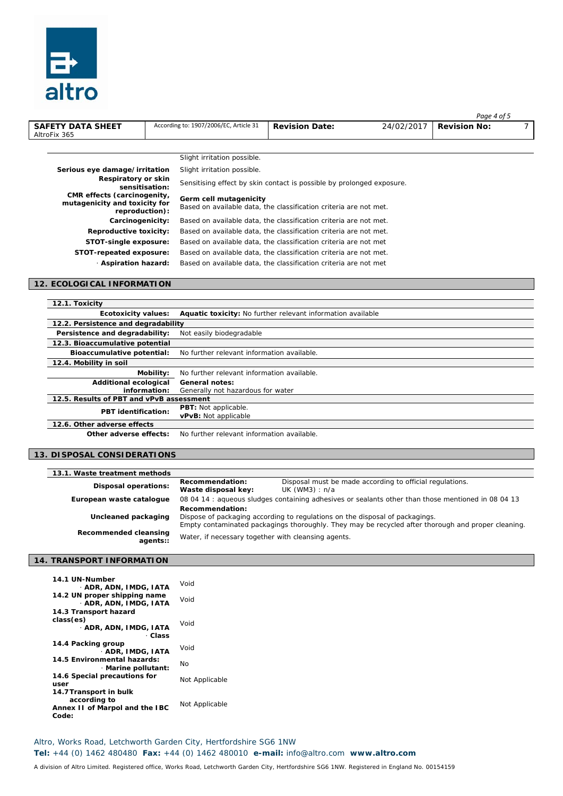

|                                                                                |                                                                                             |                                                                       |            | Page 4 of 5         |  |
|--------------------------------------------------------------------------------|---------------------------------------------------------------------------------------------|-----------------------------------------------------------------------|------------|---------------------|--|
| <b>SAFETY DATA SHEET</b><br>AltroFix 365                                       | According to: 1907/2006/EC, Article 31                                                      | <b>Revision Date:</b>                                                 | 24/02/2017 | <b>Revision No:</b> |  |
|                                                                                |                                                                                             |                                                                       |            |                     |  |
|                                                                                | Slight irritation possible.                                                                 |                                                                       |            |                     |  |
| Serious eye damage/irritation                                                  | Slight irritation possible.                                                                 |                                                                       |            |                     |  |
| Respiratory or skin<br>sensitisation:                                          |                                                                                             | Sensitising effect by skin contact is possible by prolonged exposure. |            |                     |  |
| CMR effects (carcinogenity,<br>mutagenicity and toxicity for<br>reproduction): | Germ cell mutagenicity<br>Based on available data, the classification criteria are not met. |                                                                       |            |                     |  |
| Carcinogenicity:                                                               | Based on available data, the classification criteria are not met.                           |                                                                       |            |                     |  |
| Reproductive toxicity:                                                         | Based on available data, the classification criteria are not met.                           |                                                                       |            |                     |  |
| STOT-single exposure:                                                          | Based on available data, the classification criteria are not met                            |                                                                       |            |                     |  |
| STOT-repeated exposure:                                                        | Based on available data, the classification criteria are not met.                           |                                                                       |            |                     |  |
| <b>Aspiration hazard:</b>                                                      | Based on available data, the classification criteria are not met                            |                                                                       |            |                     |  |
|                                                                                |                                                                                             |                                                                       |            |                     |  |

#### **12. ECOLOGICAL INFORMATION**

| 12.1. Toxicity                           |                                                             |  |
|------------------------------------------|-------------------------------------------------------------|--|
| <b>Ecotoxicity values:</b>               | Aquatic toxicity: No further relevant information available |  |
| 12.2. Persistence and degradability      |                                                             |  |
| Persistence and degradability:           | Not easily biodegradable                                    |  |
| 12.3. Bioaccumulative potential          |                                                             |  |
| Bioaccumulative potential:               | No further relevant information available.                  |  |
| 12.4. Mobility in soil                   |                                                             |  |
| Mobility:                                | No further relevant information available.                  |  |
| <b>Additional ecological</b>             | General notes:                                              |  |
| information:                             | Generally not hazardous for water                           |  |
| 12.5. Results of PBT and vPvB assessment |                                                             |  |
| <b>PBT</b> identification:               | <b>PBT:</b> Not applicable.                                 |  |
|                                          | vPvB: Not applicable                                        |  |
| 12.6. Other adverse effects              |                                                             |  |
|                                          |                                                             |  |

**Other adverse effects:** No further relevant information available.

### **13. DISPOSAL CONSIDERATIONS**

| 13.1. Waste treatment methods     |                                                                                                                                                                                                       |                                                                              |  |
|-----------------------------------|-------------------------------------------------------------------------------------------------------------------------------------------------------------------------------------------------------|------------------------------------------------------------------------------|--|
| <b>Disposal operations:</b>       | Recommendation:<br>Waste disposal key:                                                                                                                                                                | Disposal must be made according to official regulations.<br>UK $(WM3) : n/a$ |  |
| European waste cataloque          | 08 04 14 : aqueous sludges containing adhesives or sealants other than those mentioned in 08 04 13                                                                                                    |                                                                              |  |
| Uncleaned packaging               | Recommendation:<br>Dispose of packaging according to regulations on the disposal of packagings.<br>Empty contaminated packagings thoroughly. They may be recycled after thorough and proper cleaning. |                                                                              |  |
| Recommended cleansing<br>agents:: | Water, if necessary together with cleansing agents.                                                                                                                                                   |                                                                              |  |

### **14. TRANSPORT INFORMATION**

| 14.1 UN-Number<br>ADR, ADN, IMDG, IATA                 | Void           |  |
|--------------------------------------------------------|----------------|--|
| 14.2 UN proper shipping name<br>- ADR, ADN, IMDG, IATA | Void           |  |
| 14.3 Transport hazard                                  |                |  |
| class(es)                                              | Void           |  |
| - ADR, ADN, IMDG, IATA<br>- Class                      |                |  |
| 14.4 Packing group                                     | Void           |  |
| · ADR. IMDG. IATA                                      |                |  |
| 14.5 Environmental hazards:<br>Marine pollutant:       | No             |  |
| 14.6 Special precautions for<br>user                   | Not Applicable |  |
| 14.7 Transport in bulk                                 |                |  |
| according to                                           |                |  |
| Annex II of Marpol and the IBC                         | Not Applicable |  |
| Code:                                                  |                |  |